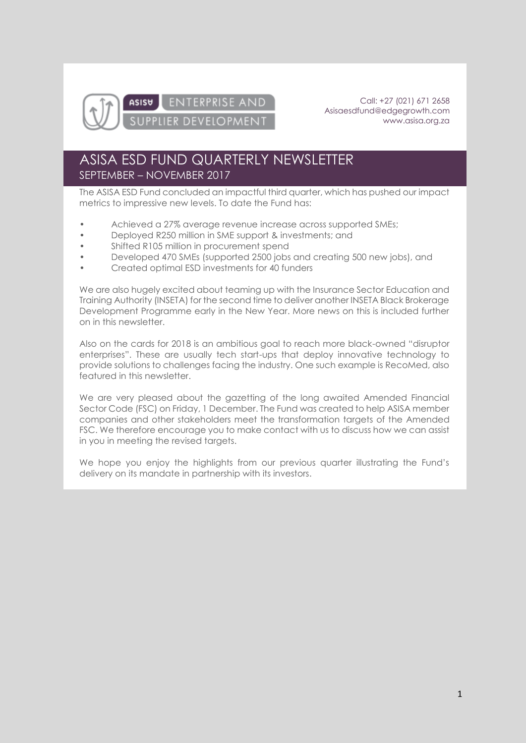

**ENTERPRISE AND**  $Asis<sub>0</sub>$ PPLIER DEVELOPMENT

Call: +27 (021) 671 2658 [Asisaesdfund@edgegrowth.com](mailto:Asisaesdfund@edgegrowth.com) [www.asisa.org.za](http://www.asisa.org.za/)

## ASISA ESD FUND QUARTERLY NEWSLETTER SEPTEMBER – NOVEMBER 2017

The ASISA ESD Fund concluded an impactful third quarter, which has pushed our impact metrics to impressive new levels. To date the Fund has:

- Achieved a 27% average revenue increase across supported SMEs;
- Deployed R250 million in SME support & investments; and
- Shifted R105 million in procurement spend
- Developed 470 SMEs (supported 2500 jobs and creating 500 new jobs), and
- Created optimal ESD investments for 40 funders

We are also hugely excited about teaming up with the Insurance Sector Education and Training Authority (INSETA) for the second time to deliver another INSETA Black Brokerage Development Programme early in the New Year. More news on this is included further on in this newsletter.

Also on the cards for 2018 is an ambitious goal to reach more black-owned "disruptor enterprises". These are usually tech start-ups that deploy innovative technology to provide solutions to challenges facing the industry. One such example is RecoMed, also featured in this newsletter.

We are very pleased about the gazetting of the long awaited Amended Financial Sector Code (FSC) on Friday, 1 December. The Fund was created to help ASISA member companies and other stakeholders meet the transformation targets of the Amended FSC. We therefore encourage you to make contact with us to discuss how we can assist in you in meeting the revised targets.

We hope you enjoy the highlights from our previous quarter illustrating the Fund's delivery on its mandate in partnership with its investors.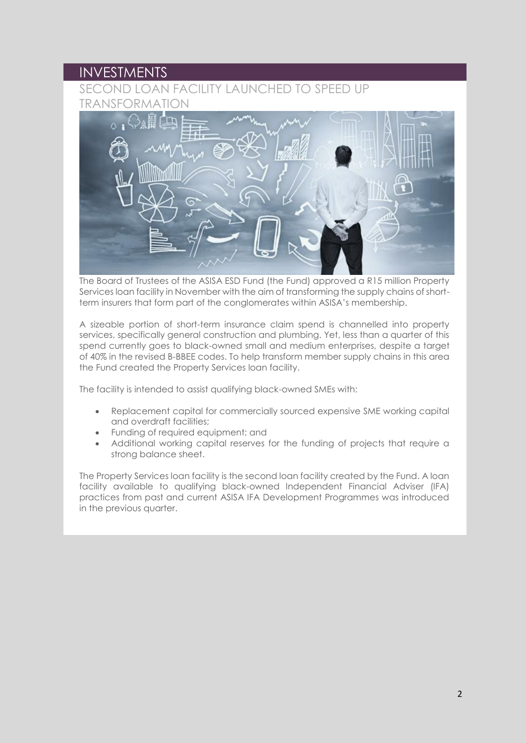#### INVESTMENTS

### SECOND LOAN FACILITY LAUNCHED TO SPEED UP TRANSFORMATION



The Board of Trustees of the ASISA ESD Fund (the Fund) approved a R15 million Property Services loan facility in November with the aim of transforming the supply chains of shortterm insurers that form part of the conglomerates within ASISA's membership.

A sizeable portion of short-term insurance claim spend is channelled into property services, specifically general construction and plumbing. Yet, less than a quarter of this spend currently goes to black-owned small and medium enterprises, despite a target of 40% in the revised B-BBEE codes. To help transform member supply chains in this area the Fund created the Property Services loan facility.

The facility is intended to assist qualifying black-owned SMEs with:

- Replacement capital for commercially sourced expensive SME working capital and overdraft facilities;
- Funding of required equipment; and
- Additional working capital reserves for the funding of projects that require a strong balance sheet.

The Property Services loan facility is the second loan facility created by the Fund. A loan facility available to qualifying black-owned Independent Financial Adviser (IFA) practices from past and current ASISA IFA Development Programmes was introduced in the previous quarter.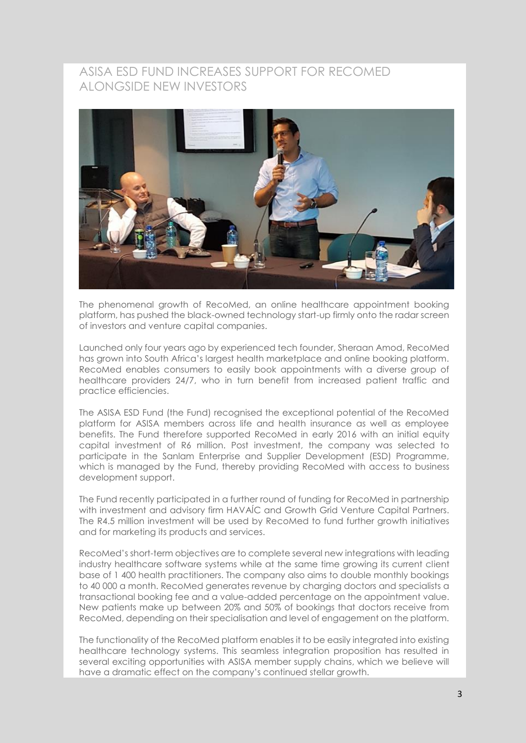#### ASISA ESD FUND INCREASES SUPPORT FOR RECOMED ALONGSIDE NEW INVESTORS



The phenomenal growth of RecoMed, an online healthcare appointment booking platform, has pushed the black-owned technology start-up firmly onto the radar screen of investors and venture capital companies.

Launched only four years ago by experienced tech founder, Sheraan Amod, RecoMed has grown into South Africa's largest health marketplace and online booking platform. RecoMed enables consumers to easily book appointments with a diverse group of healthcare providers 24/7, who in turn benefit from increased patient traffic and practice efficiencies.

The ASISA ESD Fund (the Fund) recognised the exceptional potential of the RecoMed platform for ASISA members across life and health insurance as well as employee benefits. The Fund therefore supported RecoMed in early 2016 with an initial equity capital investment of R6 million. Post investment, the company was selected to participate in the Sanlam Enterprise and Supplier Development (ESD) Programme, which is managed by the Fund, thereby providing RecoMed with access to business development support.

The Fund recently participated in a further round of funding for RecoMed in partnership with investment and advisory firm HAVAÍC and Growth Grid Venture Capital Partners. The R4.5 million investment will be used by RecoMed to fund further growth initiatives and for marketing its products and services.

RecoMed's short-term objectives are to complete several new integrations with leading industry healthcare software systems while at the same time growing its current client base of 1 400 health practitioners. The company also aims to double monthly bookings to 40 000 a month. RecoMed generates revenue by charging doctors and specialists a transactional booking fee and a value-added percentage on the appointment value. New patients make up between 20% and 50% of bookings that doctors receive from RecoMed, depending on their specialisation and level of engagement on the platform.

The functionality of the RecoMed platform enables it to be easily integrated into existing healthcare technology systems. This seamless integration proposition has resulted in several exciting opportunities with ASISA member supply chains, which we believe will have a dramatic effect on the company's continued stellar growth.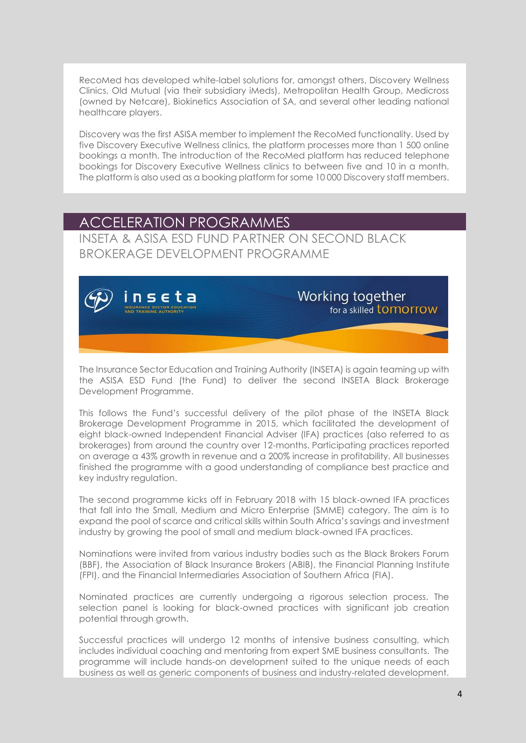RecoMed has developed white-label solutions for, amongst others, Discovery Wellness Clinics, Old Mutual (via their subsidiary iMeds), Metropolitan Health Group, Medicross (owned by Netcare), Biokinetics Association of SA, and several other leading national healthcare players.

Discovery was the first ASISA member to implement the RecoMed functionality. Used by five Discovery Executive Wellness clinics, the platform processes more than 1 500 online bookings a month. The introduction of the RecoMed platform has reduced telephone bookings for Discovery Executive Wellness clinics to between five and 10 in a month. The platform is also used as a booking platform for some 10 000 Discovery staff members.

## ACCELERATION PROGRAMMES

INSETA & ASISA ESD FUND PARTNER ON SECOND BLACK BROKERAGE DEVELOPMENT PROGRAMME



Working together for a skilled **tomorrow** 

The Insurance Sector Education and Training Authority (INSETA) is again teaming up with the ASISA ESD Fund (the Fund) to deliver the second INSETA Black Brokerage Development Programme.

This follows the Fund's successful delivery of the pilot phase of the INSETA Black Brokerage Development Programme in 2015, which facilitated the development of eight black-owned Independent Financial Adviser (IFA) practices (also referred to as brokerages) from around the country over 12-months. Participating practices reported on average a 43% growth in revenue and a 200% increase in profitability. All businesses finished the programme with a good understanding of compliance best practice and key industry regulation.

The second programme kicks off in February 2018 with 15 black-owned IFA practices that fall into the Small, Medium and Micro Enterprise (SMME) category. The aim is to expand the pool of scarce and critical skills within South Africa's savings and investment industry by growing the pool of small and medium black-owned IFA practices.

Nominations were invited from various industry bodies such as the Black Brokers Forum (BBF), the Association of Black Insurance Brokers (ABIB), the Financial Planning Institute (FPI), and the Financial Intermediaries Association of Southern Africa (FIA).

Nominated practices are currently undergoing a rigorous selection process. The selection panel is looking for black-owned practices with significant job creation potential through growth.

Successful practices will undergo 12 months of intensive business consulting, which includes individual coaching and mentoring from expert SME business consultants. The programme will include hands-on development suited to the unique needs of each business as well as generic components of business and industry-related development.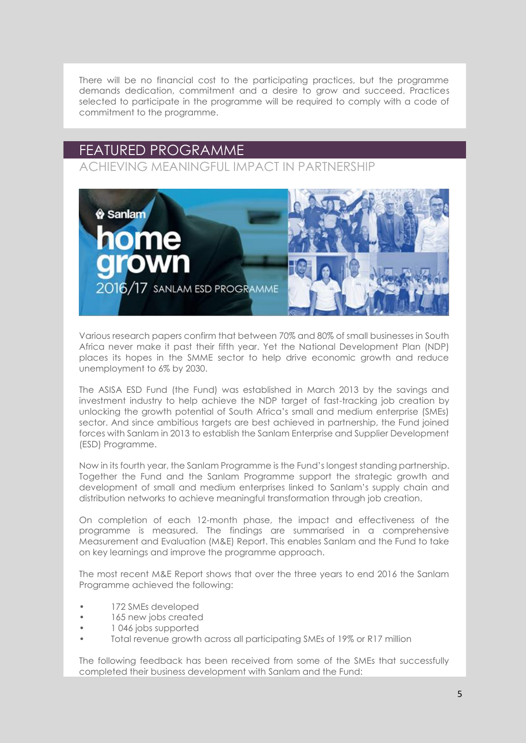There will be no financial cost to the participating practices, but the programme demands dedication, commitment and a desire to grow and succeed. Practices selected to participate in the programme will be required to comply with a code of commitment to the programme.

# FEATURED PROGRAMME

ACHIEVING MEANINGFUL IMPACT IN PARTNERSHIP



Various research papers confirm that between 70% and 80% of small businesses in South Africa never make it past their fifth year. Yet the National Development Plan (NDP) places its hopes in the SMME sector to help drive economic growth and reduce unemployment to 6% by 2030.

The ASISA ESD Fund (the Fund) was established in March 2013 by the savings and investment industry to help achieve the NDP target of fast-tracking job creation by unlocking the growth potential of South Africa's small and medium enterprise (SMEs) sector. And since ambitious targets are best achieved in partnership, the Fund joined forces with Sanlam in 2013 to establish the Sanlam Enterprise and Supplier Development (ESD) Programme.

Now in its fourth year, the Sanlam Programme is the Fund's longest standing partnership. Together the Fund and the Sanlam Programme support the strategic growth and development of small and medium enterprises linked to Sanlam's supply chain and distribution networks to achieve meaningful transformation through job creation.

On completion of each 12-month phase, the impact and effectiveness of the programme is measured. The findings are summarised in a comprehensive Measurement and Evaluation (M&E) Report. This enables Sanlam and the Fund to take on key learnings and improve the programme approach.

The most recent M&E Report shows that over the three years to end 2016 the Sanlam Programme achieved the following:

- 172 SMEs developed
- 165 new jobs created
- 1 046 jobs supported
- Total revenue growth across all participating SMEs of 19% or R17 million

The following feedback has been received from some of the SMEs that successfully completed their business development with Sanlam and the Fund: